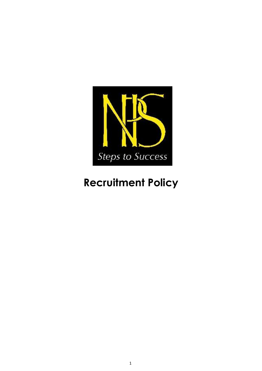

# **Recruitment Policy**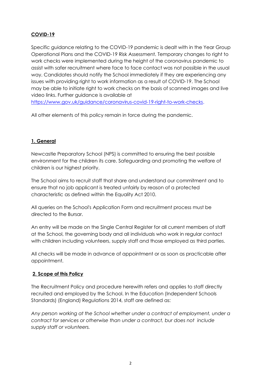# **COVID-19**

Specific guidance relating to the COVID-19 pandemic is dealt with in the Year Group Operational Plans and the COVID-19 Risk Assessment. Temporary changes to right to work checks were implemented during the height of the coronavirus pandemic to assist with safer recruitment where face to face contact was not possible in the usual way. Candidates should notify the School immediately if they are experiencing any issues with providing right to work information as a result of COVID-19. The School may be able to initiate right to work checks on the basis of scanned images and live video links. Further guidance is available at

[https://www.gov.uk/guidance/coronavirus-covid-19-right-to-work-checks.](https://www.gov.uk/guidance/coronavirus-covid-19-right-to-work-checks)

All other elements of this policy remain in force during the pandemic.

# **1. General**

Newcastle Preparatory School (NPS) is committed to ensuring the best possible environment for the children its care. Safeguarding and promoting the welfare of children is our highest priority.

The School aims to recruit staff that share and understand our commitment and to ensure that no job applicant is treated unfairly by reason of a protected characteristic as defined within the Equality Act 2010.

All queries on the School's Application Form and recruitment process must be directed to the Bursar.

An entry will be made on the Single Central Register for all current members of staff at the School, the governing body and all individuals who work in regular contact with children including volunteers, supply staff and those employed as third parties.

All checks will be made in advance of appointment or as soon as practicable after appointment.

# **2. Scope of this Policy**

The Recruitment Policy and procedure herewith refers and applies to staff directly recruited and employed by the School. In the Education (Independent Schools Standards) (England) Regulations 2014, staff are defined as:

*Any person working at the School whether under a contract of employment, under a contract for services or otherwise than under a contract, bur does not include supply staff or volunteers.*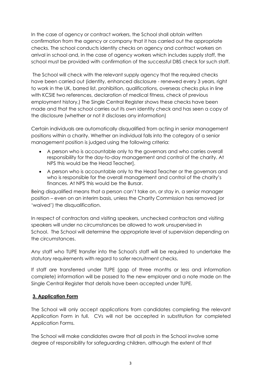In the case of agency or contract workers, the School shall obtain written confirmation from the agency or company that it has carried out the appropriate checks. The school conducts identity checks on agency and contract workers on arrival in school and, in the case of agency workers which includes supply staff, the school must be provided with confirmation of the successful DBS check for such staff.

The School will check with the relevant supply agency that the required checks have been carried out (identity, enhanced disclosure - renewed every 3 years, right to work in the UK, barred list, prohibition, qualifications, overseas checks plus in line with KCSIE two references, declaration of medical fitness, check of previous employment history.) The Single Central Register shows these checks have been made and that the school carries out its own identity check and has seen a copy of the disclosure (whether or not it discloses any information)

Certain individuals are automatically disqualified from acting in senior management positions within a charity. Whether an individual falls into the category of a senior management position is judged using the following criteria:

- A person who is accountable only to the governors and who carries overall responsibility for the day-to-day management and control of the charity. At NPS this would be the Head Teacher].
- A person who is accountable only to the Head Teacher or the governors and who is responsible for the overall management and control of the charity's finances. At NPS this would be the Bursar.

Being disqualified means that a person can't take on, or stay in, a senior manager position – even on an interim basis, unless the Charity Commission has removed (or 'waived') the disqualification.

In respect of contractors and visiting speakers, unchecked contractors and visiting speakers will under no circumstances be allowed to work unsupervised in School. The School will determine the appropriate level of supervision depending on the circumstances.

Any staff who TUPE transfer into the School's staff will be required to undertake the statutory requirements with regard to safer recruitment checks.

If staff are transferred under TUPE (gap of three months or less and information complete) information will be passed to the new employer and a note made on the Single Central Register that details have been accepted under TUPE.

#### **3. Application Form**

The School will only accept applications from candidates completing the relevant Application Form in full. CVs will not be accepted in substitution for completed Application Forms.

The School will make candidates aware that all posts in the School involve some degree of responsibility for safeguarding children, although the extent of that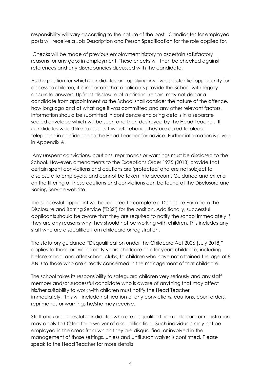responsibility will vary according to the nature of the post. Candidates for employed posts will receive a Job Description and Person Specification for the role applied for.

Checks will be made of previous employment history to ascertain satisfactory reasons for any gaps in employment. These checks will then be checked against references and any discrepancies discussed with the candidate.

As the position for which candidates are applying involves substantial opportunity for access to children, it is important that applicants provide the School with legally accurate answers. Upfront disclosure of a criminal record may not debar a candidate from appointment as the School shall consider the nature of the offence, how long ago and at what age it was committed and any other relevant factors. Information should be submitted in confidence enclosing details in a separate sealed envelope which will be seen and then destroyed by the Head Teacher. If candidates would like to discuss this beforehand, they are asked to please telephone in confidence to the Head Teacher for advice. Further information is given in Appendix A.

Any unspent convictions, cautions, reprimands or warnings must be disclosed to the School. However, amendments to the Exceptions Order 1975 (2013) provide that certain spent convictions and cautions are 'protected' and are not subject to disclosure to employers, and cannot be taken into account. Guidance and criteria on the filtering of these cautions and convictions can be found at the Disclosure and Barring Service website.

The successful applicant will be required to complete a Disclosure Form from the Disclosure and Barring Service ("DBS") for the position. Additionally, successful applicants should be aware that they are required to notify the school immediately if they are any reasons why they should not be working with children. This includes any staff who are disqualified from childcare or reaistration.

The statutory guidance "Disqualification under the Childcare Act 2006 (July 2018)" applies to those providing early years childcare or later years childcare, including before school and after school clubs, to children who have not attained the age of 8 AND to those who are directly concerned in the management of that childcare.

The school takes its responsibility to safeguard children very seriously and any staff member and/or successful candidate who is aware of anything that may affect his/her suitability to work with children must notify the Head Teacher immediately. This will include notification of any convictions, cautions, court orders, reprimands or warnings he/she may receive.

Staff and/or successful candidates who are disqualified from childcare or registration may apply to Ofsted for a waiver of disqualification. Such individuals may not be employed in the areas from which they are disqualified, or involved in the management of those settings, unless and until such waiver is confirmed. Please speak to the Head Teacher for more details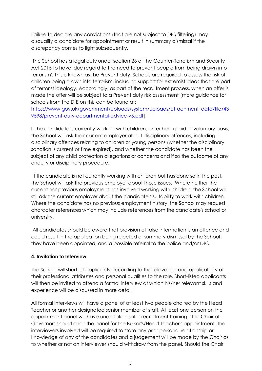Failure to declare any convictions (that are not subject to DBS filtering) may disqualify a candidate for appointment or result in summary dismissal if the discrepancy comes to light subsequently.

The School has a legal duty under section 26 of the Counter-Terrorism and Security Act 2015 to have 'due regard to the need to prevent people from being drawn into terrorism'. This is known as the Prevent duty. Schools are required to assess the risk of children being drawn into terrorism, including support for extremist ideas that are part of terrorist ideology. Accordingly, as part of the recruitment process, when an offer is made the offer will be subject to a Prevent duty risk assessment (more guidance for schools from the DfE on this can be found at:

[https://www.gov.uk/government/uploads/system/uploads/attachment\\_data/file/43](https://www.gov.uk/government/uploads/system/uploads/attachment_data/file/439598/prevent-duty-departmental-advice-v6.pdf) [9598/prevent-duty-departmental-advice-v6.pdf\]](https://www.gov.uk/government/uploads/system/uploads/attachment_data/file/439598/prevent-duty-departmental-advice-v6.pdf).

If the candidate is currently working with children, on either a paid or voluntary basis, the School will ask their current employer about disciplinary offences, including disciplinary offences relating to children or young persons (whether the disciplinary sanction is current or time expired), and whether the candidate has been the subject of any child protection allegations or concerns and if so the outcome of any enquiry or disciplinary procedure.

If the candidate is not currently working with children but has done so in the past, the School will ask the previous employer about those issues. Where neither the current nor previous employment has involved working with children, the School will still ask the current employer about the candidate's suitability to work with children. Where the candidate has no previous employment history, the School may request character references which may include references from the candidate's school or university.

All candidates should be aware that provision of false information is an offence and could result in the application being rejected or summary dismissal by the School if they have been appointed, and a possible referral to the police and/or DBS.

# **4. Invitation to Interview**

The School will short list applicants according to the relevance and applicability of their professional attributes and personal qualities to the role. Short-listed applicants will then be invited to attend a formal interview at which his/her relevant skills and experience will be discussed in more detail.

All formal interviews will have a panel of at least two people chaired by the Head Teacher or another designated senior member of staff. At least one person on the appointment panel will have undertaken safer recruitment training. The Chair of Governors should chair the panel for the Bursar's/Head Teacher's appointment. The interviewers involved will be required to state any prior personal relationship or knowledge of any of the candidates and a judgement will be made by the Chair as to whether or not an interviewer should withdraw from the panel. Should the Chair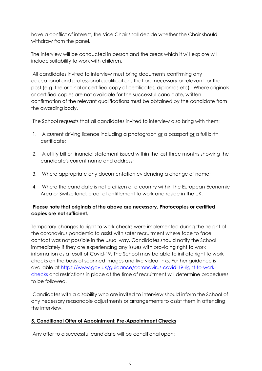have a conflict of interest, the Vice Chair shall decide whether the Chair should withdraw from the panel.

The interview will be conducted in person and the areas which it will explore will include suitability to work with children.

All candidates invited to interview must bring documents confirming any educational and professional qualifications that are necessary or relevant for the post (e.g. the original or certified copy of certificates, diplomas etc). Where originals or certified copies are not available for the successful candidate, written confirmation of the relevant qualifications must be obtained by the candidate from the awarding body.

The School requests that all candidates invited to interview also bring with them:

- 1. A current driving licence including a photograph or a passport or a full birth certificate;
- 2. A utility bill or financial statement issued within the last three months showing the candidate's current name and address;
- 3. Where appropriate any documentation evidencing a change of name;
- 4. Where the candidate is not a citizen of a country within the European Economic Area or Switzerland, proof of entitlement to work and reside in the UK.

# **Please note that originals of the above are necessary. Photocopies or certified copies are not sufficient.**

Temporary changes to right to work checks were implemented during the height of the coronavirus pandemic to assist with safer recruitment where face to face contact was not possible in the usual way. Candidates should notify the School immediately if they are experiencing any issues with providing right to work information as a result of Covid-19. The School may be able to initiate right to work checks on the basis of scanned images and live video links. Further guidance is available at [https://www.gov.uk/guidance/coronavirus-covid-19-right-to-work](https://www.gov.uk/guidance/coronavirus-covid-19-right-to-work-checks)[checks](https://www.gov.uk/guidance/coronavirus-covid-19-right-to-work-checks) and restrictions in place at the time of recruitment will determine procedures to be followed.

Candidates with a disability who are invited to interview should inform the School of any necessary reasonable adjustments or arrangements to assist them in attending the interview.

# **5. Conditional Offer of Appointment: Pre-Appointment Checks**

Any offer to a successful candidate will be conditional upon: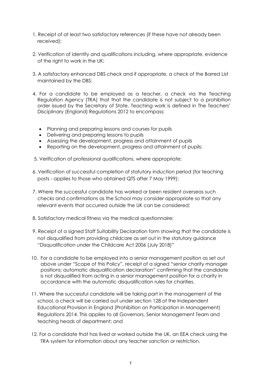- 1. Receipt of at least two satisfactory references (if these have not already been received);
- 2. Verification of identity and qualifications including, where appropriate, evidence of the right to work in the UK;
- 3. A satisfactory enhanced DBS check and if appropriate, a check of the Barred List maintained by the DBS;
- 4. For a candidate to be employed as a teacher, a check via the Teaching Regulation Agency (TRA) that that the candidate is not subject to a prohibition order issued by the Secretary of State. Teaching work is defined in The Teachers' Disciplinary (England) Regulations 2012 to encompass:
	- Planning and preparing lessons and courses for pupils
	- Delivering and preparing lessons to pupils
	- Assessing the development, progress and attainment of pupils
	- Reporting on the development, progress and attainment of pupils;
- 5. Verification of professional qualifications, where appropriate;
- 6. Verification of successful completion of statutory induction period (for teaching posts - applies to those who obtained QTS after 7 May 1999);
- 7. Where the successful candidate has worked or been resident overseas such checks and confirmations as the School may consider appropriate so that any relevant events that occurred outside the UK can be considered;
- 8. Satisfactory medical fitness via the medical questionnaire;
- 9. Receipt of a signed Staff Suitability Declaration form showing that the candidate is not disqualified from providing childcare as set out in the statutory guidance "Disqualification under the Childcare Act 2006 (July 2018)"
- 10. For a candidate to be employed into a senior management position as set out above under "Scope of this Policy", receipt of a signed "senior charity manager positions: automatic disqualification declaration" confirming that the candidate is not disqualified from acting in a senior management position for a charity in accordance with the automatic disqualification rules for charities.
- 11. Where the successful candidate will be taking part in the management of the school, a check will be carried out under section 128 of the Independent Educational Provision in England (Prohibition on Participation in Management) Regulations 2014. This applies to all Governors, Senior Management Team and teaching heads of department; and
- 12. For a candidate that has lived or worked outside the UK, an EEA check using the TRA system for information about any teacher sanction or restriction.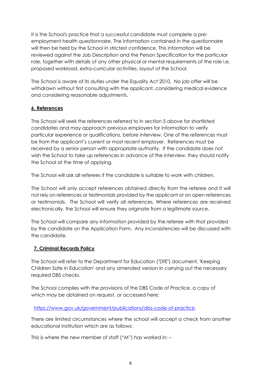It is the School's practice that a successful candidate must complete a preemployment health questionnaire. The information contained in the questionnaire will then be held by the School in strictest confidence. This information will be reviewed against the Job Description and the Person Specification for the particular role, together with details of any other physical or mental requirements of the role i.e. proposed workload, extra-curricular activities, layout of the School.

The School is aware of its duties under the Equality Act 2010. No job offer will be withdrawn without first consulting with the applicant, considering medical evidence and considering reasonable adjustments.

# **6. References**

The School will seek the references referred to in section 5 above for shortlisted candidates and may approach previous employers for information to verify particular experience or qualifications, before interview. One of the references must be from the applicant's current or most recent employer. References must be received by a senior person with appropriate authority. If the candidate does not wish the School to take up references in advance of the interview, they should notify the School at the time of applying.

The School will ask all referees if the candidate is suitable to work with children.

The School will only accept references obtained directly from the referee and it will not rely on references or testimonials provided by the applicant or on open references or testimonials. The School will verify all references. Where references are received electronically, the School will ensure they originate from a legitimate source.

The School will compare any information provided by the referee with that provided by the candidate on the Application Form. Any inconsistencies will be discussed with the candidate.

# **7. Criminal Records Policy**

The School will refer to the Department for Education ("DfE") document, 'Keeping Children Safe in Education' and any amended version in carrying out the necessary required DBS checks.

The School complies with the provisions of the DBS Code of Practice, a copy of which may be obtained on request, or accessed here:

[https://www.gov.uk/government/publications/dbs-code-of-practice.](https://www.gov.uk/government/publications/dbs-code-of-practice)

There are limited circumstances where the school will accept a check from another educational institution which are as follows:

This is where the new member of staff ("M") has worked in: –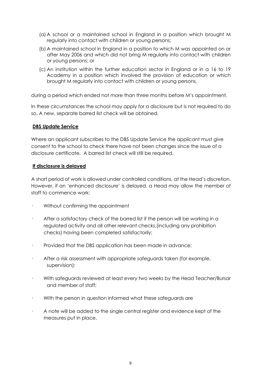- (a) A school or a maintained school in England in a position which brought M regularly into contact with children or young persons;
- (b) A maintained school in England in a position to which M was appointed on or after May 2006 and which did not bring M regularly into contact with children or young persons; or
- (c) An institution within the further education sector in England or in a 16 to 19 Academy in a position which involved the provision of education or which brought M regularly into contact with children or young persons,

during a period which ended not more than three months before M's appointment.

In these circumstances the school may apply for a disclosure but is not required to do so. A new, separate barred list check will be obtained.

#### **DBS Update Service**

Where an applicant subscribes to the DBS Update Service the applicant must give consent to the school to check there have not been changes since the issue of a disclosure certificate. A barred list check will still be required.

#### **If disclosure is delayed**

A short period of work is allowed under controlled conditions, at the Head's discretion. However, if an 'enhanced disclosure' is delayed, a Head may allow the member of staff to commence work:

- Without confirming the appointment
- After a satisfactory check of the barred list if the person will be working in a regulated activity and all other relevant checks,(including any prohibition checks) having been completed satisfactorily;
- · Provided that the DBS application has been made in advance;
- · After a risk assessment with appropriate safeguards taken (for example, supervision);
- · With safeguards reviewed at least every two weeks by the Head Teacher/Bursar and member of staff;
- With the person in question informed what these safeguards are
- · A note will be added to the single central register and evidence kept of the measures put in place.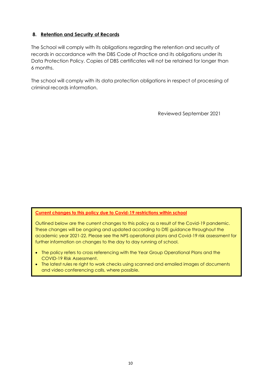# **8. Retention and Security of Records**

The School will comply with its obligations regarding the retention and security of records in accordance with the DBS Code of Practice and its obligations under its Data Protection Policy. Copies of DBS certificates will not be retained for longer than 6 months.

The school will comply with its data protection obligations in respect of processing of criminal records information.

Reviewed September 2021

#### **Current changes to this policy due to Covid-19 restrictions within school**

Outlined below are the current changes to this policy as a result of the Covid-19 pandemic. These changes will be ongoing and updated according to DfE guidance throughout the academic year 2021-22. Please see the NPS operational plans and Covid-19 risk assessment for further information on changes to the day to day running of school.

- The policy refers to cross referencing with the Year Group Operational Plans and the COVID-19 Risk Assessment.
- The latest rules re right to work checks using scanned and emailed images of documents and video conferencing calls, where possible.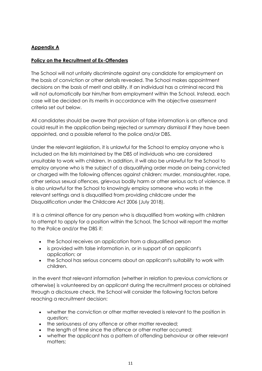# **Appendix A**

### **Policy on the Recruitment of Ex-Offenders**

The School will not unfairly discriminate against any candidate for employment on the basis of conviction or other details revealed. The School makes appointment decisions on the basis of merit and ability. If an individual has a criminal record this will not automatically bar him/her from employment within the School. Instead, each case will be decided on its merits in accordance with the objective assessment criteria set out below.

All candidates should be aware that provision of false information is an offence and could result in the application being rejected or summary dismissal if they have been appointed, and a possible referral to the police and/or DBS.

Under the relevant legislation, it is unlawful for the School to employ anyone who is included on the lists maintained by the DBS of individuals who are considered unsuitable to work with children. In addition, it will also be unlawful for the School to employ anyone who is the subject of a disqualifying order made on being convicted or charged with the following offences against children: murder, manslaughter, rape, other serious sexual offences, grievous bodily harm or other serious acts of violence. It is also unlawful for the School to knowingly employ someone who works in the relevant settings and is disqualified from providing childcare under the Disqualification under the Childcare Act 2006 (July 2018).

It is a criminal offence for any person who is disqualified from working with children to attempt to apply for a position within the School. The School will report the matter to the Police and/or the DBS if:

- the School receives an application from a disqualified person
- is provided with false information in, or in support of an applicant's application; or
- the School has serious concerns about an applicant's suitability to work with children.

In the event that relevant information (whether in relation to previous convictions or otherwise) is volunteered by an applicant during the recruitment process or obtained through a disclosure check, the School will consider the following factors before reaching a recruitment decision:

- whether the conviction or other matter revealed is relevant to the position in question;
- the seriousness of any offence or other matter revealed:
- the length of time since the offence or other matter occurred:
- whether the applicant has a pattern of offending behaviour or other relevant matters;